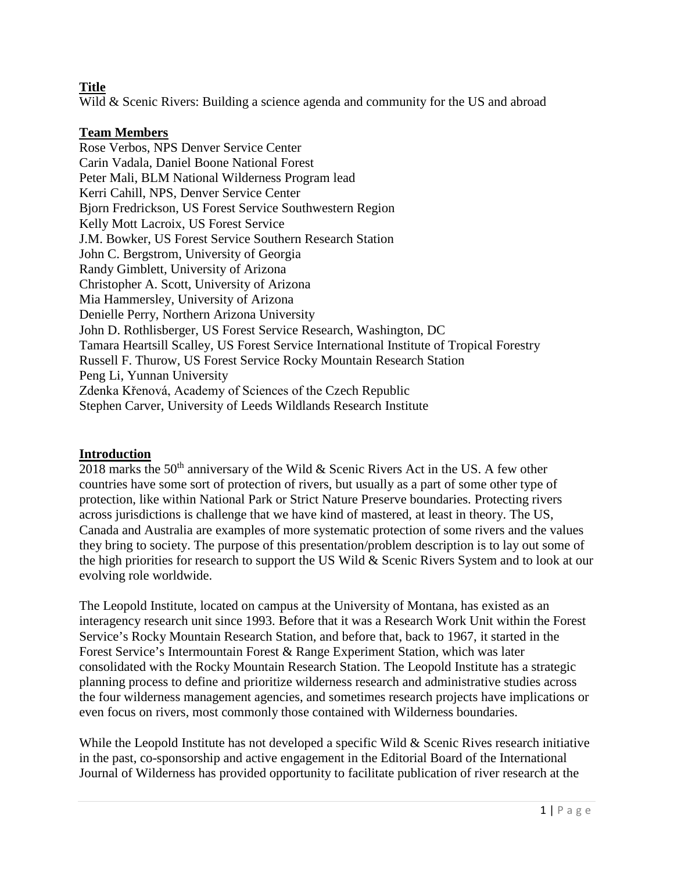## **Title**

Wild & Scenic Rivers: Building a science agenda and community for the US and abroad

#### **Team Members**

Rose Verbos, NPS Denver Service Center Carin Vadala, Daniel Boone National Forest Peter Mali, BLM National Wilderness Program lead Kerri Cahill, NPS, Denver Service Center Bjorn Fredrickson, US Forest Service Southwestern Region Kelly Mott Lacroix, US Forest Service J.M. Bowker, US Forest Service Southern Research Station John C. Bergstrom, University of Georgia Randy Gimblett, University of Arizona Christopher A. Scott, University of Arizona Mia Hammersley, University of Arizona Denielle Perry, Northern Arizona University John D. Rothlisberger, US Forest Service Research, Washington, DC Tamara Heartsill Scalley, US Forest Service International Institute of Tropical Forestry Russell F. Thurow, US Forest Service Rocky Mountain Research Station Peng Li, Yunnan University Zdenka Křenová, Academy of Sciences of the Czech Republic Stephen Carver, University of Leeds Wildlands Research Institute

#### **Introduction**

2018 marks the  $50<sup>th</sup>$  anniversary of the Wild & Scenic Rivers Act in the US. A few other countries have some sort of protection of rivers, but usually as a part of some other type of protection, like within National Park or Strict Nature Preserve boundaries. Protecting rivers across jurisdictions is challenge that we have kind of mastered, at least in theory. The US, Canada and Australia are examples of more systematic protection of some rivers and the values they bring to society. The purpose of this presentation/problem description is to lay out some of the high priorities for research to support the US Wild & Scenic Rivers System and to look at our evolving role worldwide.

The Leopold Institute, located on campus at the University of Montana, has existed as an interagency research unit since 1993. Before that it was a Research Work Unit within the Forest Service's Rocky Mountain Research Station, and before that, back to 1967, it started in the Forest Service's Intermountain Forest & Range Experiment Station, which was later consolidated with the Rocky Mountain Research Station. The Leopold Institute has a strategic planning process to define and prioritize wilderness research and administrative studies across the four wilderness management agencies, and sometimes research projects have implications or even focus on rivers, most commonly those contained with Wilderness boundaries.

While the Leopold Institute has not developed a specific Wild & Scenic Rives research initiative in the past, co-sponsorship and active engagement in the Editorial Board of the International Journal of Wilderness has provided opportunity to facilitate publication of river research at the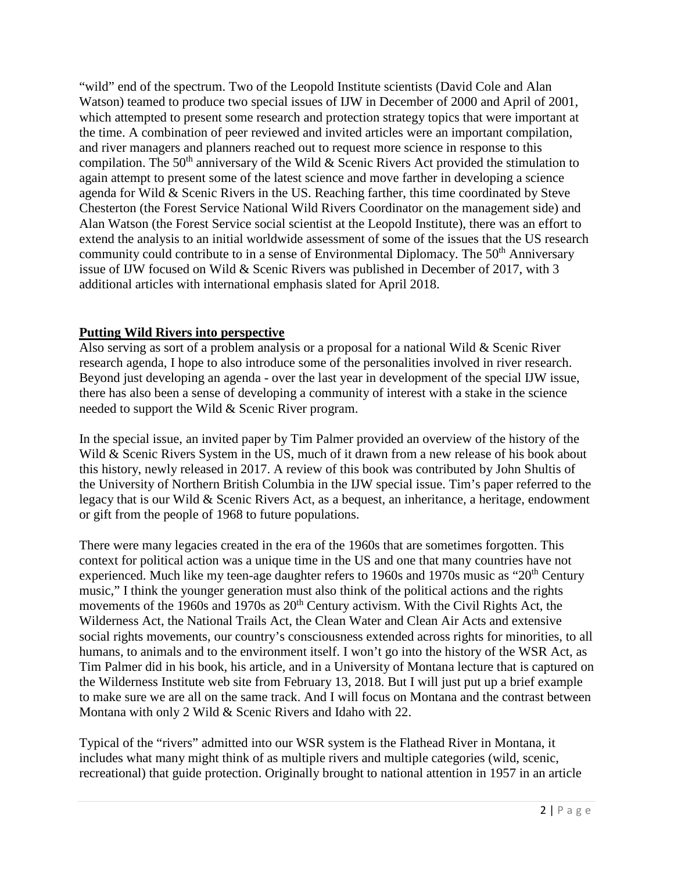"wild" end of the spectrum. Two of the Leopold Institute scientists (David Cole and Alan Watson) teamed to produce two special issues of IJW in December of 2000 and April of 2001, which attempted to present some research and protection strategy topics that were important at the time. A combination of peer reviewed and invited articles were an important compilation, and river managers and planners reached out to request more science in response to this compilation. The 50<sup>th</sup> anniversary of the Wild & Scenic Rivers Act provided the stimulation to again attempt to present some of the latest science and move farther in developing a science agenda for Wild & Scenic Rivers in the US. Reaching farther, this time coordinated by Steve Chesterton (the Forest Service National Wild Rivers Coordinator on the management side) and Alan Watson (the Forest Service social scientist at the Leopold Institute), there was an effort to extend the analysis to an initial worldwide assessment of some of the issues that the US research community could contribute to in a sense of Environmental Diplomacy. The  $50<sup>th</sup>$  Anniversary issue of IJW focused on Wild & Scenic Rivers was published in December of 2017, with 3 additional articles with international emphasis slated for April 2018.

## **Putting Wild Rivers into perspective**

Also serving as sort of a problem analysis or a proposal for a national Wild & Scenic River research agenda, I hope to also introduce some of the personalities involved in river research. Beyond just developing an agenda - over the last year in development of the special IJW issue, there has also been a sense of developing a community of interest with a stake in the science needed to support the Wild & Scenic River program.

In the special issue, an invited paper by Tim Palmer provided an overview of the history of the Wild & Scenic Rivers System in the US, much of it drawn from a new release of his book about this history, newly released in 2017. A review of this book was contributed by John Shultis of the University of Northern British Columbia in the IJW special issue. Tim's paper referred to the legacy that is our Wild & Scenic Rivers Act, as a bequest, an inheritance, a heritage, endowment or gift from the people of 1968 to future populations.

There were many legacies created in the era of the 1960s that are sometimes forgotten. This context for political action was a unique time in the US and one that many countries have not experienced. Much like my teen-age daughter refers to 1960s and 1970s music as " $20<sup>th</sup>$  Century music," I think the younger generation must also think of the political actions and the rights movements of the 1960s and 1970s as 20<sup>th</sup> Century activism. With the Civil Rights Act, the Wilderness Act, the National Trails Act, the Clean Water and Clean Air Acts and extensive social rights movements, our country's consciousness extended across rights for minorities, to all humans, to animals and to the environment itself. I won't go into the history of the WSR Act, as Tim Palmer did in his book, his article, and in a University of Montana lecture that is captured on the Wilderness Institute web site from February 13, 2018. But I will just put up a brief example to make sure we are all on the same track. And I will focus on Montana and the contrast between Montana with only 2 Wild & Scenic Rivers and Idaho with 22.

Typical of the "rivers" admitted into our WSR system is the Flathead River in Montana, it includes what many might think of as multiple rivers and multiple categories (wild, scenic, recreational) that guide protection. Originally brought to national attention in 1957 in an article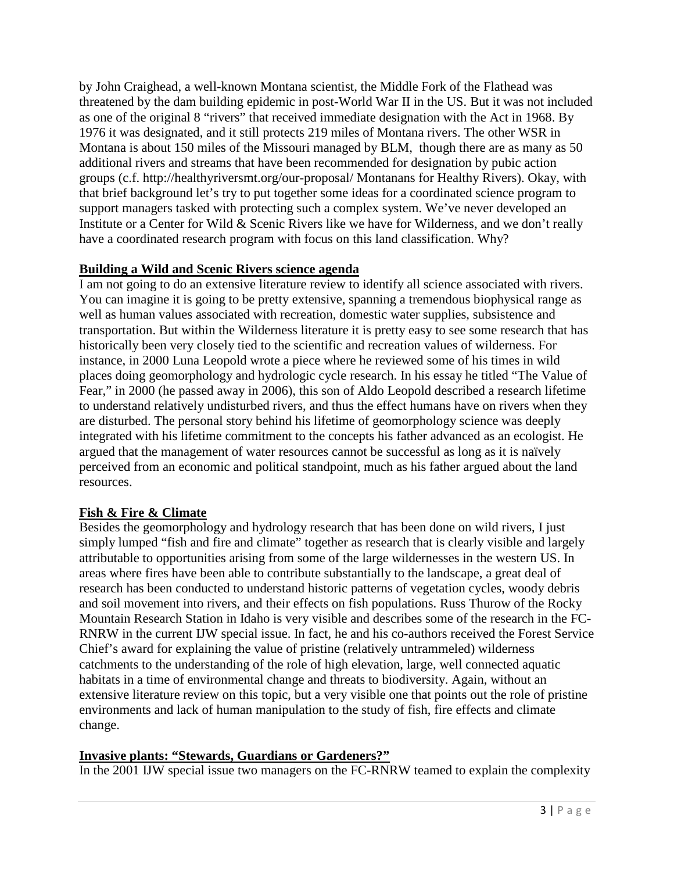by John Craighead, a well-known Montana scientist, the Middle Fork of the Flathead was threatened by the dam building epidemic in post-World War II in the US. But it was not included as one of the original 8 "rivers" that received immediate designation with the Act in 1968. By 1976 it was designated, and it still protects 219 miles of Montana rivers. The other WSR in Montana is about 150 miles of the Missouri managed by BLM, though there are as many as 50 additional rivers and streams that have been recommended for designation by pubic action groups (c.f. http://healthyriversmt.org/our-proposal/ Montanans for Healthy Rivers). Okay, with that brief background let's try to put together some ideas for a coordinated science program to support managers tasked with protecting such a complex system. We've never developed an Institute or a Center for Wild & Scenic Rivers like we have for Wilderness, and we don't really have a coordinated research program with focus on this land classification. Why?

### **Building a Wild and Scenic Rivers science agenda**

I am not going to do an extensive literature review to identify all science associated with rivers. You can imagine it is going to be pretty extensive, spanning a tremendous biophysical range as well as human values associated with recreation, domestic water supplies, subsistence and transportation. But within the Wilderness literature it is pretty easy to see some research that has historically been very closely tied to the scientific and recreation values of wilderness. For instance, in 2000 Luna Leopold wrote a piece where he reviewed some of his times in wild places doing geomorphology and hydrologic cycle research. In his essay he titled "The Value of Fear," in 2000 (he passed away in 2006), this son of Aldo Leopold described a research lifetime to understand relatively undisturbed rivers, and thus the effect humans have on rivers when they are disturbed. The personal story behind his lifetime of geomorphology science was deeply integrated with his lifetime commitment to the concepts his father advanced as an ecologist. He argued that the management of water resources cannot be successful as long as it is naïvely perceived from an economic and political standpoint, much as his father argued about the land resources.

# **Fish & Fire & Climate**

Besides the geomorphology and hydrology research that has been done on wild rivers, I just simply lumped "fish and fire and climate" together as research that is clearly visible and largely attributable to opportunities arising from some of the large wildernesses in the western US. In areas where fires have been able to contribute substantially to the landscape, a great deal of research has been conducted to understand historic patterns of vegetation cycles, woody debris and soil movement into rivers, and their effects on fish populations. Russ Thurow of the Rocky Mountain Research Station in Idaho is very visible and describes some of the research in the FC-RNRW in the current IJW special issue. In fact, he and his co-authors received the Forest Service Chief's award for explaining the value of pristine (relatively untrammeled) wilderness catchments to the understanding of the role of high elevation, large, well connected aquatic habitats in a time of environmental change and threats to biodiversity. Again, without an extensive literature review on this topic, but a very visible one that points out the role of pristine environments and lack of human manipulation to the study of fish, fire effects and climate change.

### **Invasive plants: "Stewards, Guardians or Gardeners?"**

In the 2001 IJW special issue two managers on the FC-RNRW teamed to explain the complexity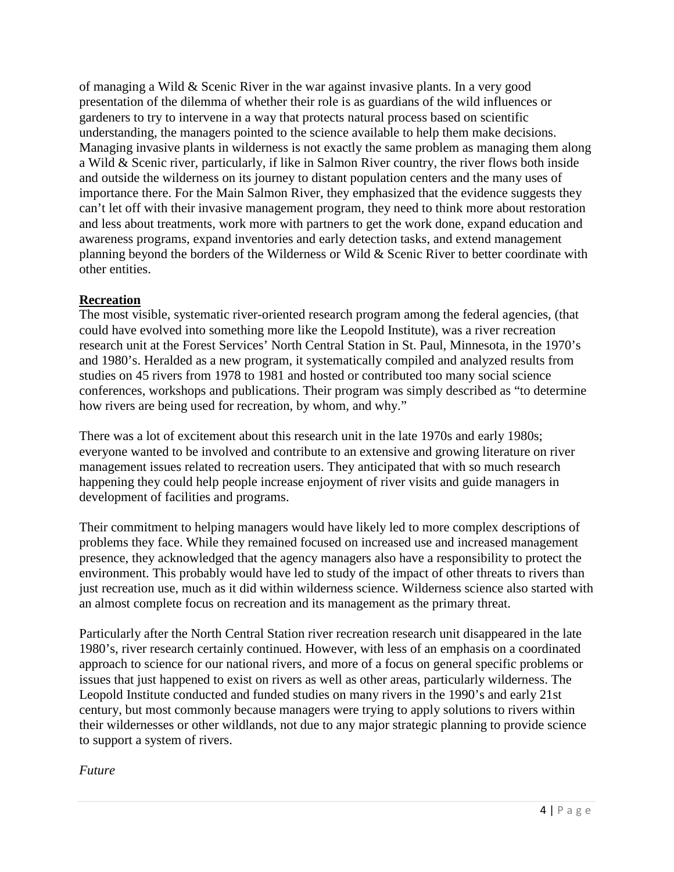of managing a Wild & Scenic River in the war against invasive plants. In a very good presentation of the dilemma of whether their role is as guardians of the wild influences or gardeners to try to intervene in a way that protects natural process based on scientific understanding, the managers pointed to the science available to help them make decisions. Managing invasive plants in wilderness is not exactly the same problem as managing them along a Wild & Scenic river, particularly, if like in Salmon River country, the river flows both inside and outside the wilderness on its journey to distant population centers and the many uses of importance there. For the Main Salmon River, they emphasized that the evidence suggests they can't let off with their invasive management program, they need to think more about restoration and less about treatments, work more with partners to get the work done, expand education and awareness programs, expand inventories and early detection tasks, and extend management planning beyond the borders of the Wilderness or Wild & Scenic River to better coordinate with other entities.

### **Recreation**

The most visible, systematic river-oriented research program among the federal agencies, (that could have evolved into something more like the Leopold Institute), was a river recreation research unit at the Forest Services' North Central Station in St. Paul, Minnesota, in the 1970's and 1980's. Heralded as a new program, it systematically compiled and analyzed results from studies on 45 rivers from 1978 to 1981 and hosted or contributed too many social science conferences, workshops and publications. Their program was simply described as "to determine how rivers are being used for recreation, by whom, and why."

There was a lot of excitement about this research unit in the late 1970s and early 1980s; everyone wanted to be involved and contribute to an extensive and growing literature on river management issues related to recreation users. They anticipated that with so much research happening they could help people increase enjoyment of river visits and guide managers in development of facilities and programs.

Their commitment to helping managers would have likely led to more complex descriptions of problems they face. While they remained focused on increased use and increased management presence, they acknowledged that the agency managers also have a responsibility to protect the environment. This probably would have led to study of the impact of other threats to rivers than just recreation use, much as it did within wilderness science. Wilderness science also started with an almost complete focus on recreation and its management as the primary threat.

Particularly after the North Central Station river recreation research unit disappeared in the late 1980's, river research certainly continued. However, with less of an emphasis on a coordinated approach to science for our national rivers, and more of a focus on general specific problems or issues that just happened to exist on rivers as well as other areas, particularly wilderness. The Leopold Institute conducted and funded studies on many rivers in the 1990's and early 21st century, but most commonly because managers were trying to apply solutions to rivers within their wildernesses or other wildlands, not due to any major strategic planning to provide science to support a system of rivers.

### *Future*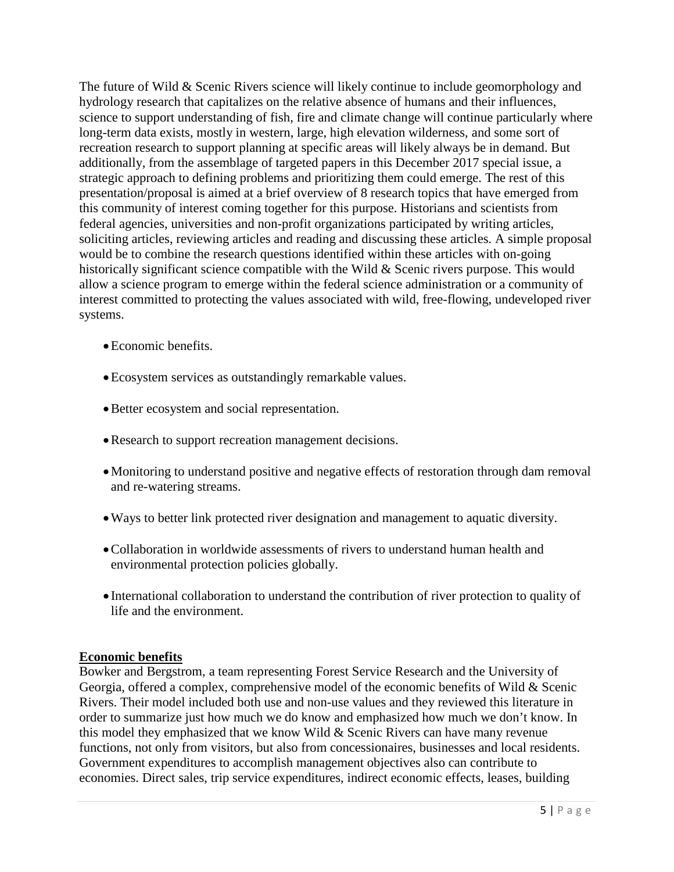The future of Wild & Scenic Rivers science will likely continue to include geomorphology and hydrology research that capitalizes on the relative absence of humans and their influences, science to support understanding of fish, fire and climate change will continue particularly where long-term data exists, mostly in western, large, high elevation wilderness, and some sort of recreation research to support planning at specific areas will likely always be in demand. But additionally, from the assemblage of targeted papers in this December 2017 special issue, a strategic approach to defining problems and prioritizing them could emerge. The rest of this presentation/proposal is aimed at a brief overview of 8 research topics that have emerged from this community of interest coming together for this purpose. Historians and scientists from federal agencies, universities and non-profit organizations participated by writing articles, soliciting articles, reviewing articles and reading and discussing these articles. A simple proposal would be to combine the research questions identified within these articles with on-going historically significant science compatible with the Wild & Scenic rivers purpose. This would allow a science program to emerge within the federal science administration or a community of interest committed to protecting the values associated with wild, free-flowing, undeveloped river systems.

- Economic benefits.
- •Ecosystem services as outstandingly remarkable values.
- •Better ecosystem and social representation.
- •Research to support recreation management decisions.
- •Monitoring to understand positive and negative effects of restoration through dam removal and re-watering streams.
- •Ways to better link protected river designation and management to aquatic diversity.
- •Collaboration in worldwide assessments of rivers to understand human health and environmental protection policies globally.
- International collaboration to understand the contribution of river protection to quality of life and the environment.

### **Economic benefits**

Bowker and Bergstrom, a team representing Forest Service Research and the University of Georgia, offered a complex, comprehensive model of the economic benefits of Wild & Scenic Rivers. Their model included both use and non-use values and they reviewed this literature in order to summarize just how much we do know and emphasized how much we don't know. In this model they emphasized that we know Wild & Scenic Rivers can have many revenue functions, not only from visitors, but also from concessionaires, businesses and local residents. Government expenditures to accomplish management objectives also can contribute to economies. Direct sales, trip service expenditures, indirect economic effects, leases, building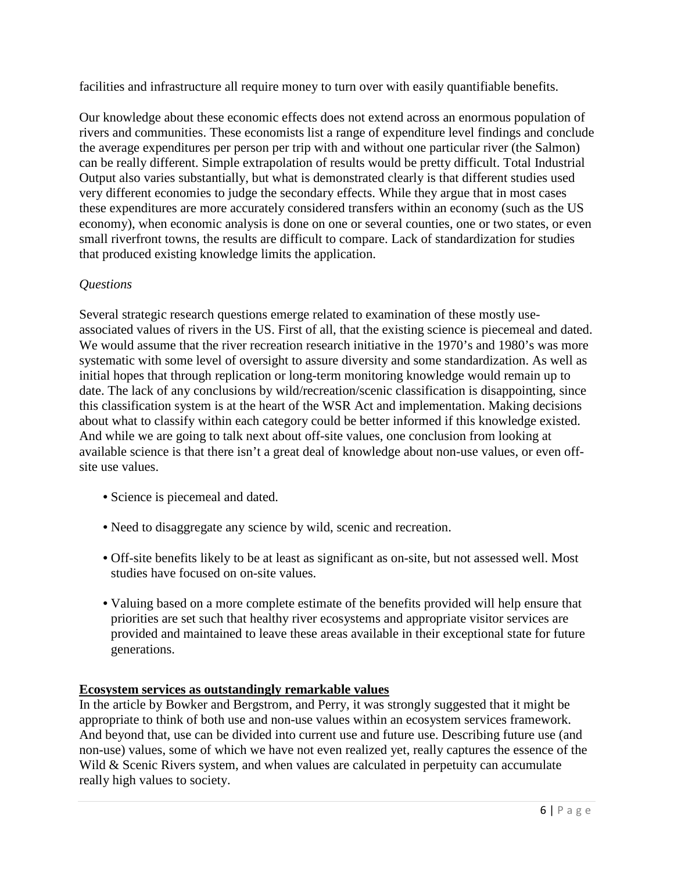facilities and infrastructure all require money to turn over with easily quantifiable benefits.

Our knowledge about these economic effects does not extend across an enormous population of rivers and communities. These economists list a range of expenditure level findings and conclude the average expenditures per person per trip with and without one particular river (the Salmon) can be really different. Simple extrapolation of results would be pretty difficult. Total Industrial Output also varies substantially, but what is demonstrated clearly is that different studies used very different economies to judge the secondary effects. While they argue that in most cases these expenditures are more accurately considered transfers within an economy (such as the US economy), when economic analysis is done on one or several counties, one or two states, or even small riverfront towns, the results are difficult to compare. Lack of standardization for studies that produced existing knowledge limits the application.

# *Questions*

Several strategic research questions emerge related to examination of these mostly useassociated values of rivers in the US. First of all, that the existing science is piecemeal and dated. We would assume that the river recreation research initiative in the 1970's and 1980's was more systematic with some level of oversight to assure diversity and some standardization. As well as initial hopes that through replication or long-term monitoring knowledge would remain up to date. The lack of any conclusions by wild/recreation/scenic classification is disappointing, since this classification system is at the heart of the WSR Act and implementation. Making decisions about what to classify within each category could be better informed if this knowledge existed. And while we are going to talk next about off-site values, one conclusion from looking at available science is that there isn't a great deal of knowledge about non-use values, or even offsite use values.

- Science is piecemeal and dated.
- Need to disaggregate any science by wild, scenic and recreation.
- Off-site benefits likely to be at least as significant as on-site, but not assessed well. Most studies have focused on on-site values.
- Valuing based on a more complete estimate of the benefits provided will help ensure that priorities are set such that healthy river ecosystems and appropriate visitor services are provided and maintained to leave these areas available in their exceptional state for future generations.

# **Ecosystem services as outstandingly remarkable values**

In the article by Bowker and Bergstrom, and Perry, it was strongly suggested that it might be appropriate to think of both use and non-use values within an ecosystem services framework. And beyond that, use can be divided into current use and future use. Describing future use (and non-use) values, some of which we have not even realized yet, really captures the essence of the Wild & Scenic Rivers system, and when values are calculated in perpetuity can accumulate really high values to society.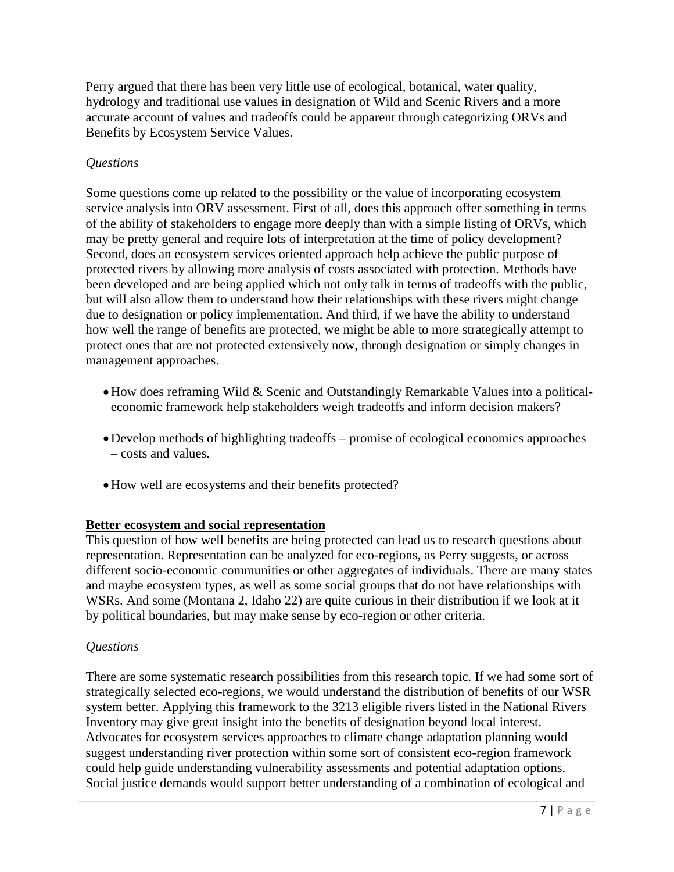Perry argued that there has been very little use of ecological, botanical, water quality, hydrology and traditional use values in designation of Wild and Scenic Rivers and a more accurate account of values and tradeoffs could be apparent through categorizing ORVs and Benefits by Ecosystem Service Values.

## *Questions*

Some questions come up related to the possibility or the value of incorporating ecosystem service analysis into ORV assessment. First of all, does this approach offer something in terms of the ability of stakeholders to engage more deeply than with a simple listing of ORVs, which may be pretty general and require lots of interpretation at the time of policy development? Second, does an ecosystem services oriented approach help achieve the public purpose of protected rivers by allowing more analysis of costs associated with protection. Methods have been developed and are being applied which not only talk in terms of tradeoffs with the public, but will also allow them to understand how their relationships with these rivers might change due to designation or policy implementation. And third, if we have the ability to understand how well the range of benefits are protected, we might be able to more strategically attempt to protect ones that are not protected extensively now, through designation or simply changes in management approaches.

- •How does reframing Wild & Scenic and Outstandingly Remarkable Values into a politicaleconomic framework help stakeholders weigh tradeoffs and inform decision makers?
- •Develop methods of highlighting tradeoffs promise of ecological economics approaches – costs and values.
- •How well are ecosystems and their benefits protected?

### **Better ecosystem and social representation**

This question of how well benefits are being protected can lead us to research questions about representation. Representation can be analyzed for eco-regions, as Perry suggests, or across different socio-economic communities or other aggregates of individuals. There are many states and maybe ecosystem types, as well as some social groups that do not have relationships with WSRs. And some (Montana 2, Idaho 22) are quite curious in their distribution if we look at it by political boundaries, but may make sense by eco-region or other criteria.

### *Questions*

There are some systematic research possibilities from this research topic. If we had some sort of strategically selected eco-regions, we would understand the distribution of benefits of our WSR system better. Applying this framework to the 3213 eligible rivers listed in the National Rivers Inventory may give great insight into the benefits of designation beyond local interest. Advocates for ecosystem services approaches to climate change adaptation planning would suggest understanding river protection within some sort of consistent eco-region framework could help guide understanding vulnerability assessments and potential adaptation options. Social justice demands would support better understanding of a combination of ecological and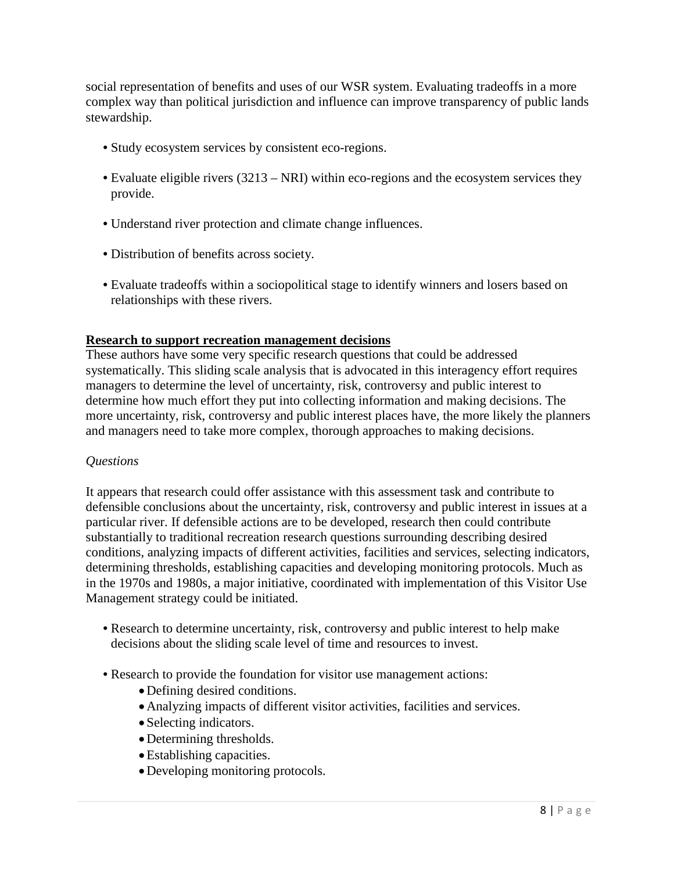social representation of benefits and uses of our WSR system. Evaluating tradeoffs in a more complex way than political jurisdiction and influence can improve transparency of public lands stewardship.

- Study ecosystem services by consistent eco-regions.
- Evaluate eligible rivers (3213 NRI) within eco-regions and the ecosystem services they provide.
- Understand river protection and climate change influences.
- Distribution of benefits across society.
- Evaluate tradeoffs within a sociopolitical stage to identify winners and losers based on relationships with these rivers.

#### **Research to support recreation management decisions**

These authors have some very specific research questions that could be addressed systematically. This sliding scale analysis that is advocated in this interagency effort requires managers to determine the level of uncertainty, risk, controversy and public interest to determine how much effort they put into collecting information and making decisions. The more uncertainty, risk, controversy and public interest places have, the more likely the planners and managers need to take more complex, thorough approaches to making decisions.

### *Questions*

It appears that research could offer assistance with this assessment task and contribute to defensible conclusions about the uncertainty, risk, controversy and public interest in issues at a particular river. If defensible actions are to be developed, research then could contribute substantially to traditional recreation research questions surrounding describing desired conditions, analyzing impacts of different activities, facilities and services, selecting indicators, determining thresholds, establishing capacities and developing monitoring protocols. Much as in the 1970s and 1980s, a major initiative, coordinated with implementation of this Visitor Use Management strategy could be initiated.

- Research to determine uncertainty, risk, controversy and public interest to help make decisions about the sliding scale level of time and resources to invest.
- Research to provide the foundation for visitor use management actions:
	- •Defining desired conditions.
	- •Analyzing impacts of different visitor activities, facilities and services.
	- Selecting indicators.
	- Determining thresholds.
	- •Establishing capacities.
	- •Developing monitoring protocols.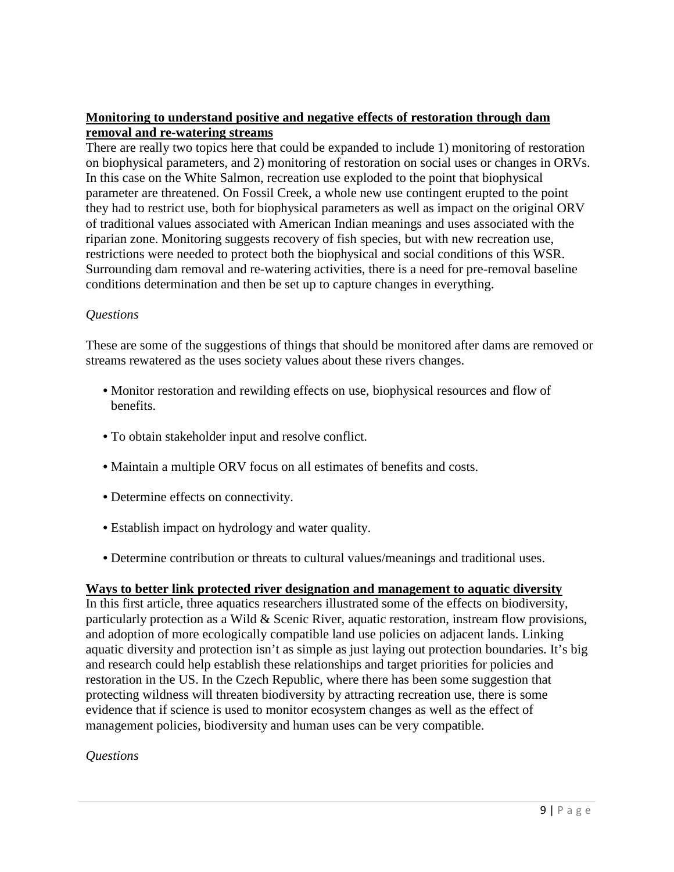## **Monitoring to understand positive and negative effects of restoration through dam removal and re-watering streams**

There are really two topics here that could be expanded to include 1) monitoring of restoration on biophysical parameters, and 2) monitoring of restoration on social uses or changes in ORVs. In this case on the White Salmon, recreation use exploded to the point that biophysical parameter are threatened. On Fossil Creek, a whole new use contingent erupted to the point they had to restrict use, both for biophysical parameters as well as impact on the original ORV of traditional values associated with American Indian meanings and uses associated with the riparian zone. Monitoring suggests recovery of fish species, but with new recreation use, restrictions were needed to protect both the biophysical and social conditions of this WSR. Surrounding dam removal and re-watering activities, there is a need for pre-removal baseline conditions determination and then be set up to capture changes in everything.

### *Questions*

These are some of the suggestions of things that should be monitored after dams are removed or streams rewatered as the uses society values about these rivers changes.

- Monitor restoration and rewilding effects on use, biophysical resources and flow of benefits.
- To obtain stakeholder input and resolve conflict.
- Maintain a multiple ORV focus on all estimates of benefits and costs.
- Determine effects on connectivity.
- Establish impact on hydrology and water quality.
- Determine contribution or threats to cultural values/meanings and traditional uses.

### **Ways to better link protected river designation and management to aquatic diversity**

In this first article, three aquatics researchers illustrated some of the effects on biodiversity, particularly protection as a Wild  $\&$  Scenic River, aquatic restoration, instream flow provisions, and adoption of more ecologically compatible land use policies on adjacent lands. Linking aquatic diversity and protection isn't as simple as just laying out protection boundaries. It's big and research could help establish these relationships and target priorities for policies and restoration in the US. In the Czech Republic, where there has been some suggestion that protecting wildness will threaten biodiversity by attracting recreation use, there is some evidence that if science is used to monitor ecosystem changes as well as the effect of management policies, biodiversity and human uses can be very compatible.

#### *Questions*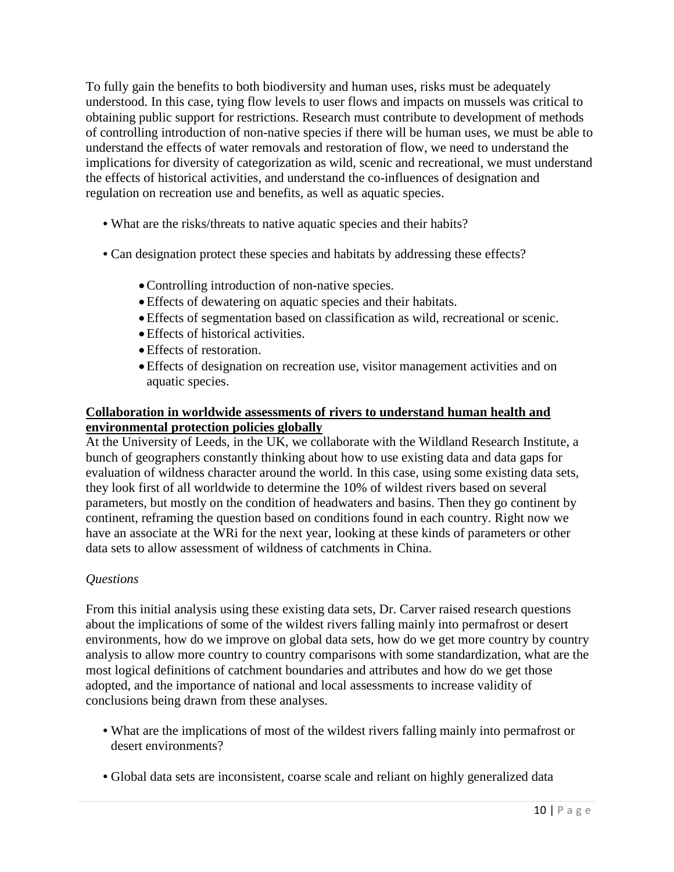To fully gain the benefits to both biodiversity and human uses, risks must be adequately understood. In this case, tying flow levels to user flows and impacts on mussels was critical to obtaining public support for restrictions. Research must contribute to development of methods of controlling introduction of non-native species if there will be human uses, we must be able to understand the effects of water removals and restoration of flow, we need to understand the implications for diversity of categorization as wild, scenic and recreational, we must understand the effects of historical activities, and understand the co-influences of designation and regulation on recreation use and benefits, as well as aquatic species.

- What are the risks/threats to native aquatic species and their habits?
- Can designation protect these species and habitats by addressing these effects?
	- •Controlling introduction of non-native species.
	- •Effects of dewatering on aquatic species and their habitats.
	- •Effects of segmentation based on classification as wild, recreational or scenic.
	- •Effects of historical activities.
	- •Effects of restoration.
	- •Effects of designation on recreation use, visitor management activities and on aquatic species.

## **Collaboration in worldwide assessments of rivers to understand human health and environmental protection policies globally**

At the University of Leeds, in the UK, we collaborate with the Wildland Research Institute, a bunch of geographers constantly thinking about how to use existing data and data gaps for evaluation of wildness character around the world. In this case, using some existing data sets, they look first of all worldwide to determine the 10% of wildest rivers based on several parameters, but mostly on the condition of headwaters and basins. Then they go continent by continent, reframing the question based on conditions found in each country. Right now we have an associate at the WRi for the next year, looking at these kinds of parameters or other data sets to allow assessment of wildness of catchments in China.

# *Questions*

From this initial analysis using these existing data sets, Dr. Carver raised research questions about the implications of some of the wildest rivers falling mainly into permafrost or desert environments, how do we improve on global data sets, how do we get more country by country analysis to allow more country to country comparisons with some standardization, what are the most logical definitions of catchment boundaries and attributes and how do we get those adopted, and the importance of national and local assessments to increase validity of conclusions being drawn from these analyses.

- What are the implications of most of the wildest rivers falling mainly into permafrost or desert environments?
- Global data sets are inconsistent, coarse scale and reliant on highly generalized data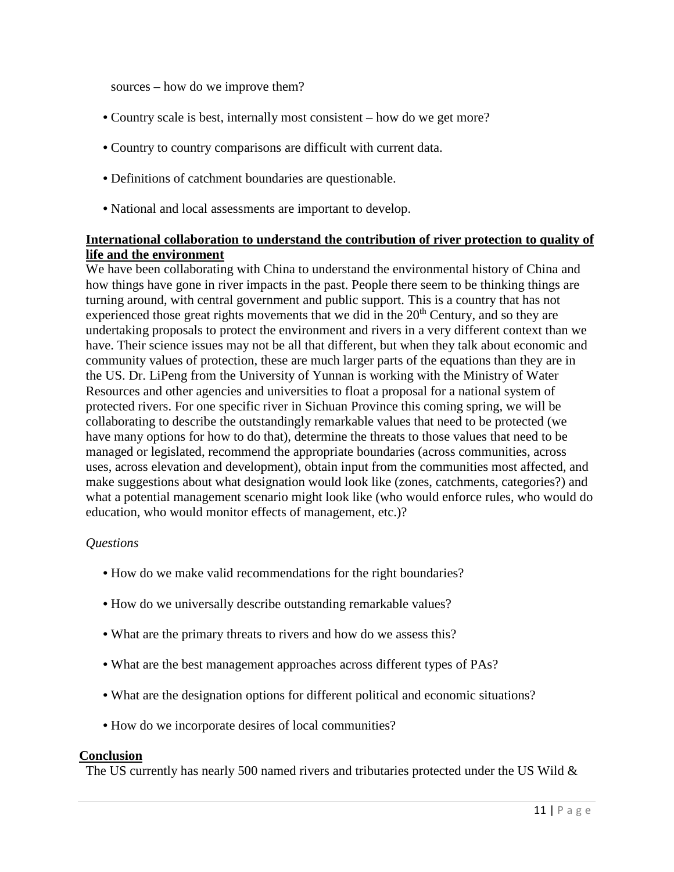sources – how do we improve them?

- Country scale is best, internally most consistent how do we get more?
- Country to country comparisons are difficult with current data.
- Definitions of catchment boundaries are questionable.
- National and local assessments are important to develop.

### **International collaboration to understand the contribution of river protection to quality of life and the environment**

We have been collaborating with China to understand the environmental history of China and how things have gone in river impacts in the past. People there seem to be thinking things are turning around, with central government and public support. This is a country that has not experienced those great rights movements that we did in the 20<sup>th</sup> Century, and so they are undertaking proposals to protect the environment and rivers in a very different context than we have. Their science issues may not be all that different, but when they talk about economic and community values of protection, these are much larger parts of the equations than they are in the US. Dr. LiPeng from the University of Yunnan is working with the Ministry of Water Resources and other agencies and universities to float a proposal for a national system of protected rivers. For one specific river in Sichuan Province this coming spring, we will be collaborating to describe the outstandingly remarkable values that need to be protected (we have many options for how to do that), determine the threats to those values that need to be managed or legislated, recommend the appropriate boundaries (across communities, across uses, across elevation and development), obtain input from the communities most affected, and make suggestions about what designation would look like (zones, catchments, categories?) and what a potential management scenario might look like (who would enforce rules, who would do education, who would monitor effects of management, etc.)?

### *Questions*

- How do we make valid recommendations for the right boundaries?
- How do we universally describe outstanding remarkable values?
- What are the primary threats to rivers and how do we assess this?
- What are the best management approaches across different types of PAs?
- What are the designation options for different political and economic situations?
- How do we incorporate desires of local communities?

### **Conclusion**

The US currently has nearly 500 named rivers and tributaries protected under the US Wild &